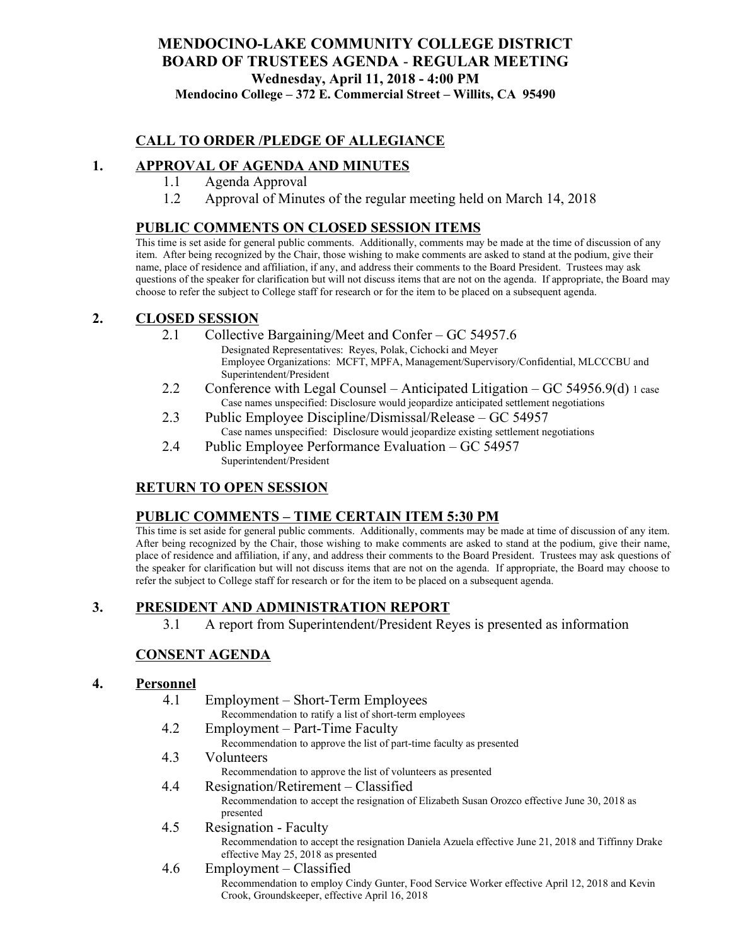# **MENDOCINO-LAKE COMMUNITY COLLEGE DISTRICT BOARD OF TRUSTEES AGENDA** - **REGULAR MEETING Wednesday, April 11, 2018 - 4:00 PM**

**Mendocino College – 372 E. Commercial Street – Willits, CA 95490**

# **CALL TO ORDER /PLEDGE OF ALLEGIANCE**

# **1. APPROVAL OF AGENDA AND MINUTES**

- 1.1 Agenda Approval
- 1.2 Approval of Minutes of the regular meeting held on March 14, 2018

#### **PUBLIC COMMENTS ON CLOSED SESSION ITEMS**

This time is set aside for general public comments. Additionally, comments may be made at the time of discussion of any item. After being recognized by the Chair, those wishing to make comments are asked to stand at the podium, give their name, place of residence and affiliation, if any, and address their comments to the Board President. Trustees may ask questions of the speaker for clarification but will not discuss items that are not on the agenda. If appropriate, the Board may choose to refer the subject to College staff for research or for the item to be placed on a subsequent agenda.

#### **2. CLOSED SESSION**

- 2.1 Collective Bargaining/Meet and Confer GC 54957.6 Designated Representatives: Reyes, Polak, Cichocki and Meyer Employee Organizations: MCFT, MPFA, Management/Supervisory/Confidential, MLCCCBU and Superintendent/President
- 2.2 Conference with Legal Counsel Anticipated Litigation GC 54956.9(d) 1 case Case names unspecified: Disclosure would jeopardize anticipated settlement negotiations
- 2.3 Public Employee Discipline/Dismissal/Release GC 54957 Case names unspecified: Disclosure would jeopardize existing settlement negotiations
- 2.4 Public Employee Performance Evaluation GC 54957 Superintendent/President

# **RETURN TO OPEN SESSION**

#### **PUBLIC COMMENTS – TIME CERTAIN ITEM 5:30 PM**

This time is set aside for general public comments. Additionally, comments may be made at time of discussion of any item. After being recognized by the Chair, those wishing to make comments are asked to stand at the podium, give their name, place of residence and affiliation, if any, and address their comments to the Board President. Trustees may ask questions of the speaker for clarification but will not discuss items that are not on the agenda. If appropriate, the Board may choose to refer the subject to College staff for research or for the item to be placed on a subsequent agenda.

# **3. PRESIDENT AND ADMINISTRATION REPORT**

3.1 A report from Superintendent/President Reyes is presented as information

# **CONSENT AGENDA**

#### **4. Personnel**

4.1 Employment – Short-Term Employees Recommendation to ratify a list of short-term employees 4.2 Employment – Part-Time Faculty Recommendation to approve the list of part-time faculty as presented 4.3 Volunteers Recommendation to approve the list of volunteers as presented 4.4 Resignation/Retirement – Classified Recommendation to accept the resignation of Elizabeth Susan Orozco effective June 30, 2018 as presented 4.5 Resignation - Faculty Recommendation to accept the resignation Daniela Azuela effective June 21, 2018 and Tiffinny Drake effective May 25, 2018 as presented 4.6 Employment – Classified Recommendation to employ Cindy Gunter, Food Service Worker effective April 12, 2018 and Kevin Crook, Groundskeeper, effective April 16, 2018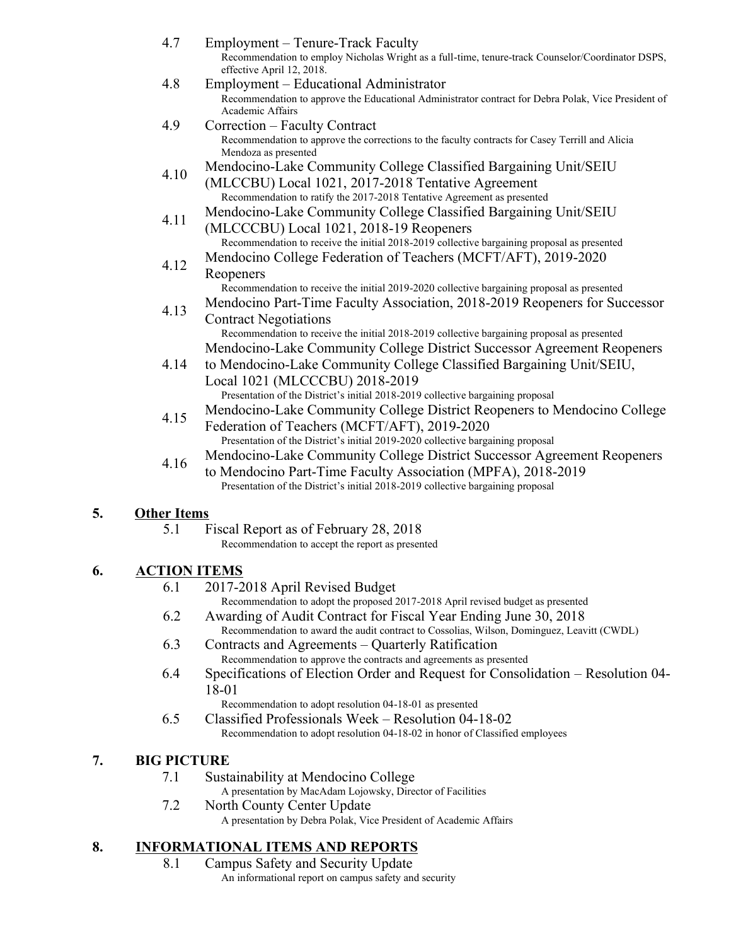| 4.7  | Employment – Tenure-Track Faculty<br>Recommendation to employ Nicholas Wright as a full-time, tenure-track Counselor/Coordinator DSPS,<br>effective April 12, 2018.                                                                                                                                           |
|------|---------------------------------------------------------------------------------------------------------------------------------------------------------------------------------------------------------------------------------------------------------------------------------------------------------------|
| 4.8  | Employment – Educational Administrator<br>Recommendation to approve the Educational Administrator contract for Debra Polak, Vice President of<br>Academic Affairs                                                                                                                                             |
| 4.9  | Correction - Faculty Contract<br>Recommendation to approve the corrections to the faculty contracts for Casey Terrill and Alicia<br>Mendoza as presented                                                                                                                                                      |
| 4.10 | Mendocino-Lake Community College Classified Bargaining Unit/SEIU<br>(MLCCBU) Local 1021, 2017-2018 Tentative Agreement<br>Recommendation to ratify the 2017-2018 Tentative Agreement as presented                                                                                                             |
| 4.11 | Mendocino-Lake Community College Classified Bargaining Unit/SEIU<br>(MLCCCBU) Local 1021, 2018-19 Reopeners<br>Recommendation to receive the initial 2018-2019 collective bargaining proposal as presented                                                                                                    |
| 4.12 | Mendocino College Federation of Teachers (MCFT/AFT), 2019-2020<br>Reopeners                                                                                                                                                                                                                                   |
| 4.13 | Recommendation to receive the initial 2019-2020 collective bargaining proposal as presented<br>Mendocino Part-Time Faculty Association, 2018-2019 Reopeners for Successor<br><b>Contract Negotiations</b>                                                                                                     |
| 4.14 | Recommendation to receive the initial 2018-2019 collective bargaining proposal as presented<br>Mendocino-Lake Community College District Successor Agreement Reopeners<br>to Mendocino-Lake Community College Classified Bargaining Unit/SEIU,<br>Local 1021 (MLCCCBU) 2018-2019                              |
| 4.15 | Presentation of the District's initial 2018-2019 collective bargaining proposal<br>Mendocino-Lake Community College District Reopeners to Mendocino College<br>Federation of Teachers (MCFT/AFT), 2019-2020                                                                                                   |
| 4.16 | Presentation of the District's initial 2019-2020 collective bargaining proposal<br>Mendocino-Lake Community College District Successor Agreement Reopeners<br>to Mendocino Part-Time Faculty Association (MPFA), 2018-2019<br>Presentation of the District's initial 2018-2019 collective bargaining proposal |

#### **5. Other Items**

- 5.1 Fiscal Report as of February 28, 2018
	- Recommendation to accept the report as presented

# **6. ACTION ITEMS**

- 6.1 2017-2018 April Revised Budget
	- Recommendation to adopt the proposed 2017-2018 April revised budget as presented
- 6.2 Awarding of Audit Contract for Fiscal Year Ending June 30, 2018 Recommendation to award the audit contract to Cossolias, Wilson, Dominguez, Leavitt (CWDL)
- 6.3 Contracts and Agreements Quarterly Ratification Recommendation to approve the contracts and agreements as presented
- 6.4 Specifications of Election Order and Request for Consolidation Resolution 04- 18-01

Recommendation to adopt resolution 04-18-01 as presented

6.5 Classified Professionals Week – Resolution 04-18-02 Recommendation to adopt resolution 04-18-02 in honor of Classified employees

# **7. BIG PICTURE**

7.1 Sustainability at Mendocino College

A presentation by MacAdam Lojowsky, Director of Facilities

7.2 North County Center Update A presentation by Debra Polak, Vice President of Academic Affairs

# **8. INFORMATIONAL ITEMS AND REPORTS**

8.1 Campus Safety and Security Update An informational report on campus safety and security